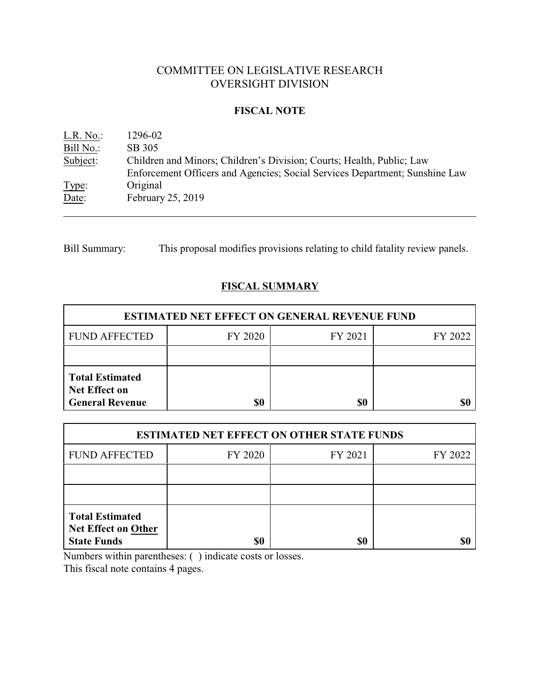# COMMITTEE ON LEGISLATIVE RESEARCH OVERSIGHT DIVISION

### **FISCAL NOTE**

| $L.R. No.$ : | 1296-02                                                                     |
|--------------|-----------------------------------------------------------------------------|
| Bill No.:    | SB 305                                                                      |
| Subject:     | Children and Minors; Children's Division; Courts; Health, Public; Law       |
|              | Enforcement Officers and Agencies; Social Services Department; Sunshine Law |
| Type:        | Original                                                                    |
| Date:        | February 25, 2019                                                           |

Bill Summary: This proposal modifies provisions relating to child fatality review panels.

# **FISCAL SUMMARY**

| <b>ESTIMATED NET EFFECT ON GENERAL REVENUE FUND</b>                      |         |         |         |  |
|--------------------------------------------------------------------------|---------|---------|---------|--|
| <b>FUND AFFECTED</b>                                                     | FY 2020 | FY 2021 | FY 2022 |  |
|                                                                          |         |         |         |  |
| <b>Total Estimated</b><br><b>Net Effect on</b><br><b>General Revenue</b> | \$0     | \$0     |         |  |

| <b>ESTIMATED NET EFFECT ON OTHER STATE FUNDS</b>                           |         |         |         |  |
|----------------------------------------------------------------------------|---------|---------|---------|--|
| <b>FUND AFFECTED</b>                                                       | FY 2020 | FY 2021 | FY 2022 |  |
|                                                                            |         |         |         |  |
|                                                                            |         |         |         |  |
| <b>Total Estimated</b><br><b>Net Effect on Other</b><br><b>State Funds</b> | \$0     | \$0     |         |  |

Numbers within parentheses: ( ) indicate costs or losses.

This fiscal note contains 4 pages.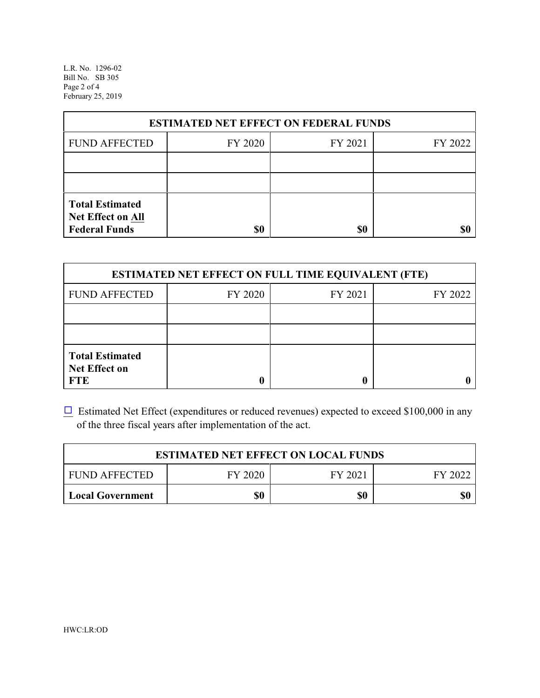L.R. No. 1296-02 Bill No. SB 305 Page 2 of 4 February 25, 2019

| <b>ESTIMATED NET EFFECT ON FEDERAL FUNDS</b>                        |         |         |         |  |
|---------------------------------------------------------------------|---------|---------|---------|--|
| <b>FUND AFFECTED</b>                                                | FY 2020 | FY 2021 | FY 2022 |  |
|                                                                     |         |         |         |  |
|                                                                     |         |         |         |  |
| <b>Total Estimated</b><br>Net Effect on All<br><b>Federal Funds</b> | \$0     | \$0     |         |  |

| <b>ESTIMATED NET EFFECT ON FULL TIME EQUIVALENT (FTE)</b>    |         |         |         |  |
|--------------------------------------------------------------|---------|---------|---------|--|
| <b>FUND AFFECTED</b>                                         | FY 2020 | FY 2021 | FY 2022 |  |
|                                                              |         |         |         |  |
|                                                              |         |         |         |  |
| <b>Total Estimated</b><br><b>Net Effect on</b><br><b>FTE</b> |         |         |         |  |

 $\Box$  Estimated Net Effect (expenditures or reduced revenues) expected to exceed \$100,000 in any of the three fiscal years after implementation of the act.

| <b>ESTIMATED NET EFFECT ON LOCAL FUNDS</b> |         |         |         |  |
|--------------------------------------------|---------|---------|---------|--|
| <b>FUND AFFECTED</b>                       | FY 2020 | FY 2021 | FY 2022 |  |
| <b>Local Government</b>                    | \$0     | \$0     | \$0     |  |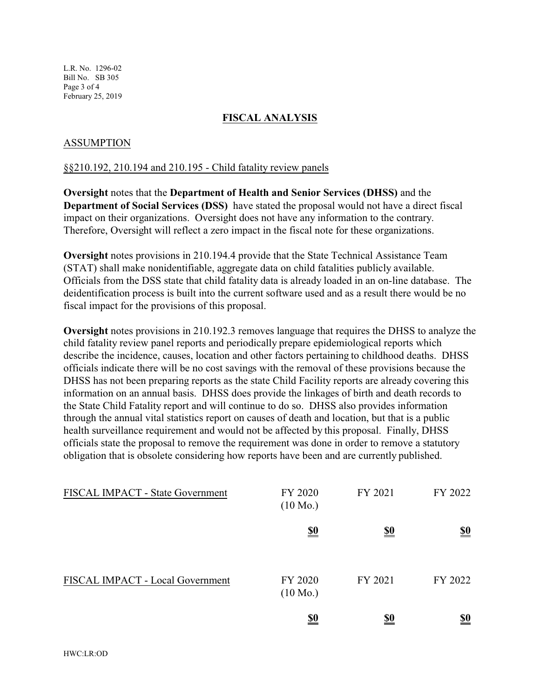L.R. No. 1296-02 Bill No. SB 305 Page 3 of 4 February 25, 2019

#### **FISCAL ANALYSIS**

#### ASSUMPTION

#### §§210.192, 210.194 and 210.195 - Child fatality review panels

**Oversight** notes that the **Department of Health and Senior Services (DHSS)** and the **Department of Social Services (DSS)** have stated the proposal would not have a direct fiscal impact on their organizations. Oversight does not have any information to the contrary. Therefore, Oversight will reflect a zero impact in the fiscal note for these organizations.

**Oversight** notes provisions in 210.194.4 provide that the State Technical Assistance Team (STAT) shall make nonidentifiable, aggregate data on child fatalities publicly available. Officials from the DSS state that child fatality data is already loaded in an on-line database. The deidentification process is built into the current software used and as a result there would be no fiscal impact for the provisions of this proposal.

**Oversight** notes provisions in 210.192.3 removes language that requires the DHSS to analyze the child fatality review panel reports and periodically prepare epidemiological reports which describe the incidence, causes, location and other factors pertaining to childhood deaths. DHSS officials indicate there will be no cost savings with the removal of these provisions because the DHSS has not been preparing reports as the state Child Facility reports are already covering this information on an annual basis. DHSS does provide the linkages of birth and death records to the State Child Fatality report and will continue to do so. DHSS also provides information through the annual vital statistics report on causes of death and location, but that is a public health surveillance requirement and would not be affected by this proposal. Finally, DHSS officials state the proposal to remove the requirement was done in order to remove a statutory obligation that is obsolete considering how reports have been and are currently published.

| FISCAL IMPACT - State Government | FY 2020<br>$(10 \text{ Mo.})$ | FY 2021    | FY 2022                       |
|----------------------------------|-------------------------------|------------|-------------------------------|
|                                  | <u>\$0</u>                    | <u>\$0</u> | $\underline{\underline{\$0}}$ |
| FISCAL IMPACT - Local Government | FY 2020<br>$(10 \text{ Mo.})$ | FY 2021    | FY 2022                       |
|                                  | <u>\$0</u>                    | <u>\$0</u> | <u>\$0</u>                    |